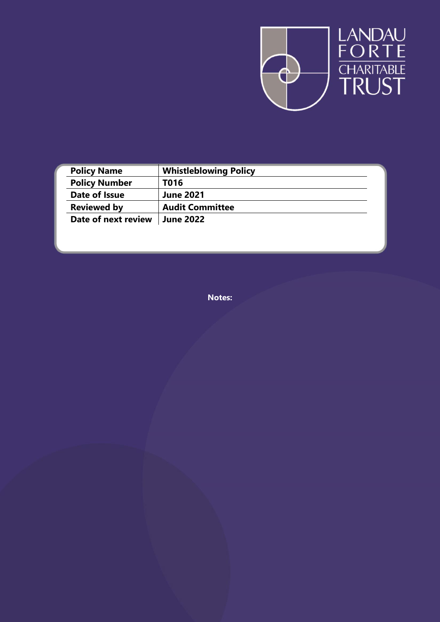

| <b>Policy Name</b>   | <b>Whistleblowing Policy</b> |  |
|----------------------|------------------------------|--|
| <b>Policy Number</b> | T016                         |  |
| Date of Issue        | <b>June 2021</b>             |  |
| <b>Reviewed by</b>   | <b>Audit Committee</b>       |  |
| Date of next review  | <b>June 2022</b>             |  |

**Notes:**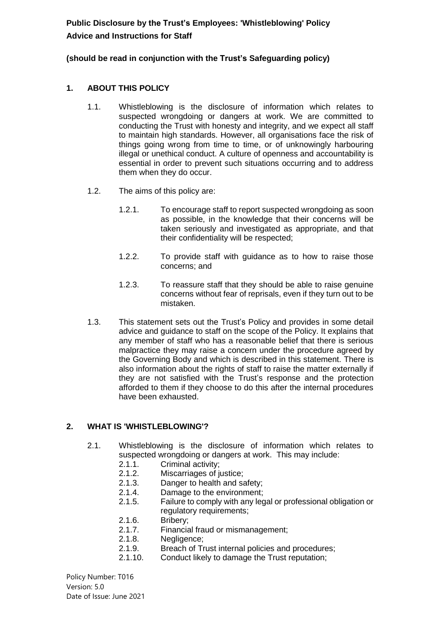**Public Disclosure by the Trust's Employees: 'Whistleblowing' Policy Advice and Instructions for Staff**

#### **(should be read in conjunction with the Trust's Safeguarding policy)**

### **1. ABOUT THIS POLICY**

- 1.1. Whistleblowing is the disclosure of information which relates to suspected wrongdoing or dangers at work. We are committed to conducting the Trust with honesty and integrity, and we expect all staff to maintain high standards. However, all organisations face the risk of things going wrong from time to time, or of unknowingly harbouring illegal or unethical conduct. A culture of openness and accountability is essential in order to prevent such situations occurring and to address them when they do occur.
- 1.2. The aims of this policy are:
	- 1.2.1. To encourage staff to report suspected wrongdoing as soon as possible, in the knowledge that their concerns will be taken seriously and investigated as appropriate, and that their confidentiality will be respected;
	- 1.2.2. To provide staff with guidance as to how to raise those concerns; and
	- 1.2.3. To reassure staff that they should be able to raise genuine concerns without fear of reprisals, even if they turn out to be mistaken.
- 1.3. This statement sets out the Trust's Policy and provides in some detail advice and guidance to staff on the scope of the Policy. It explains that any member of staff who has a reasonable belief that there is serious malpractice they may raise a concern under the procedure agreed by the Governing Body and which is described in this statement. There is also information about the rights of staff to raise the matter externally if they are not satisfied with the Trust's response and the protection afforded to them if they choose to do this after the internal procedures have been exhausted.

#### **2. WHAT IS 'WHISTLEBLOWING'?**

- 2.1. Whistleblowing is the disclosure of information which relates to suspected wrongdoing or dangers at work. This may include:
	- 2.1.1. Criminal activity;
	- 2.1.2. Miscarriages of justice;
	- 2.1.3. Danger to health and safety;
	- 2.1.4. Damage to the environment;
	- 2.1.5. Failure to comply with any legal or professional obligation or regulatory requirements;
	- 2.1.6. Bribery;
	- 2.1.7. Financial fraud or mismanagement;
	- 2.1.8. Negligence;
	- 2.1.9. Breach of Trust internal policies and procedures;
	- 2.1.10. Conduct likely to damage the Trust reputation;

Policy Number: T016 Version: 5.0 Date of Issue: June 2021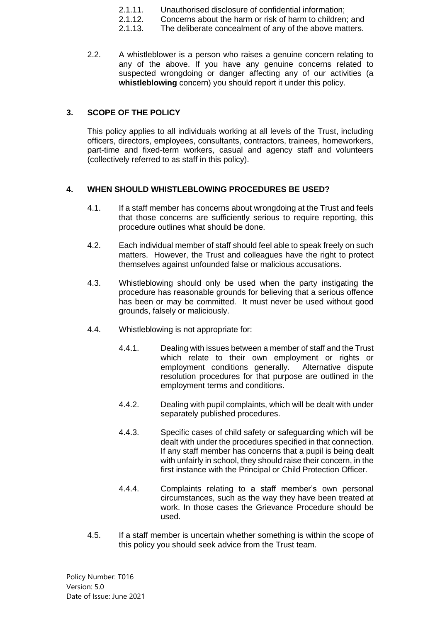- 2.1.11. Unauthorised disclosure of confidential information;
- 2.1.12. Concerns about the harm or risk of harm to children; and
- 2.1.13. The deliberate concealment of any of the above matters.
- 2.2. A whistleblower is a person who raises a genuine concern relating to any of the above. If you have any genuine concerns related to suspected wrongdoing or danger affecting any of our activities (a **whistleblowing** concern) you should report it under this policy.

# **3. SCOPE OF THE POLICY**

This policy applies to all individuals working at all levels of the Trust, including officers, directors, employees, consultants, contractors, trainees, homeworkers, part-time and fixed-term workers, casual and agency staff and volunteers (collectively referred to as staff in this policy).

## **4. WHEN SHOULD WHISTLEBLOWING PROCEDURES BE USED?**

- 4.1. If a staff member has concerns about wrongdoing at the Trust and feels that those concerns are sufficiently serious to require reporting, this procedure outlines what should be done.
- 4.2. Each individual member of staff should feel able to speak freely on such matters. However, the Trust and colleagues have the right to protect themselves against unfounded false or malicious accusations.
- 4.3. Whistleblowing should only be used when the party instigating the procedure has reasonable grounds for believing that a serious offence has been or may be committed. It must never be used without good grounds, falsely or maliciously.
- 4.4. Whistleblowing is not appropriate for:
	- 4.4.1. Dealing with issues between a member of staff and the Trust which relate to their own employment or rights or employment conditions generally. Alternative dispute resolution procedures for that purpose are outlined in the employment terms and conditions.
	- 4.4.2. Dealing with pupil complaints, which will be dealt with under separately published procedures.
	- 4.4.3. Specific cases of child safety or safeguarding which will be dealt with under the procedures specified in that connection. If any staff member has concerns that a pupil is being dealt with unfairly in school, they should raise their concern, in the first instance with the Principal or Child Protection Officer.
	- 4.4.4. Complaints relating to a staff member's own personal circumstances, such as the way they have been treated at work. In those cases the Grievance Procedure should be used.
- 4.5. If a staff member is uncertain whether something is within the scope of this policy you should seek advice from the Trust team.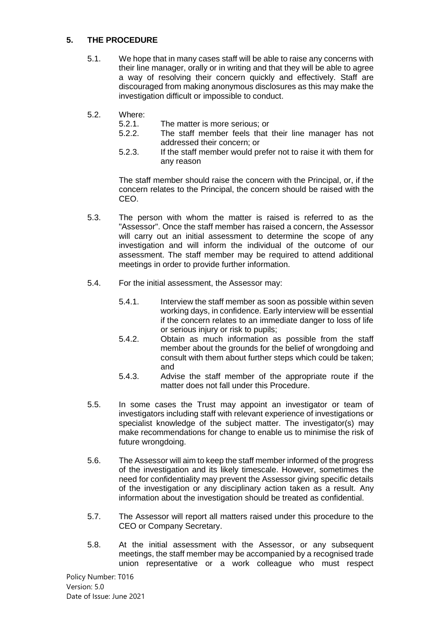### <span id="page-3-1"></span>**5. THE PROCEDURE**

- 5.1. We hope that in many cases staff will be able to raise any concerns with their line manager, orally or in writing and that they will be able to agree a way of resolving their concern quickly and effectively. Staff are discouraged from making anonymous disclosures as this may make the investigation difficult or impossible to conduct.
- 5.2. Where:
	- 5.2.1. The matter is more serious; or
	- 5.2.2. The staff member feels that their line manager has not addressed their concern; or
	- 5.2.3. If the staff member would prefer not to raise it with them for any reason

The staff member should raise the concern with the Principal, or, if the concern relates to the Principal, the concern should be raised with the CEO.

- 5.3. The person with whom the matter is raised is referred to as the "Assessor". Once the staff member has raised a concern, the Assessor will carry out an initial assessment to determine the scope of any investigation and will inform the individual of the outcome of our assessment. The staff member may be required to attend additional meetings in order to provide further information.
- 5.4. For the initial assessment, the Assessor may:
	- 5.4.1. Interview the staff member as soon as possible within seven working days, in confidence. Early interview will be essential if the concern relates to an immediate danger to loss of life or serious injury or risk to pupils;
	- 5.4.2. Obtain as much information as possible from the staff member about the grounds for the belief of wrongdoing and consult with them about further steps which could be taken; and
	- 5.4.3. Advise the staff member of the appropriate route if the matter does not fall under this Procedure.
- 5.5. In some cases the Trust may appoint an investigator or team of investigators including staff with relevant experience of investigations or specialist knowledge of the subject matter. The investigator(s) may make recommendations for change to enable us to minimise the risk of future wrongdoing.
- <span id="page-3-0"></span>5.6. The Assessor will aim to keep the staff member informed of the progress of the investigation and its likely timescale. However, sometimes the need for confidentiality may prevent the Assessor giving specific details of the investigation or any disciplinary action taken as a result. Any information about the investigation should be treated as confidential.
- 5.7. The Assessor will report all matters raised under this procedure to the CEO or Company Secretary.
- 5.8. At the initial assessment with the Assessor, or any subsequent meetings, the staff member may be accompanied by a recognised trade union representative or a work colleague who must respect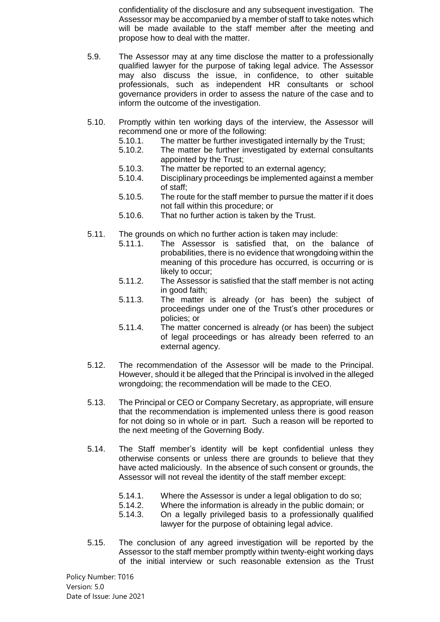confidentiality of the disclosure and any subsequent investigation. The Assessor may be accompanied by a member of staff to take notes which will be made available to the staff member after the meeting and propose how to deal with the matter.

- 5.9. The Assessor may at any time disclose the matter to a professionally qualified lawyer for the purpose of taking legal advice. The Assessor may also discuss the issue, in confidence, to other suitable professionals, such as independent HR consultants or school governance providers in order to assess the nature of the case and to inform the outcome of the investigation.
- 5.10. Promptly within ten working days of the interview, the Assessor will recommend one or more of the following:
	- 5.10.1. The matter be further investigated internally by the Trust;
	- 5.10.2. The matter be further investigated by external consultants appointed by the Trust;
	- 5.10.3. The matter be reported to an external agency;
	- 5.10.4. Disciplinary proceedings be implemented against a member of staff;
	- 5.10.5. The route for the staff member to pursue the matter if it does not fall within this procedure; or
	- 5.10.6. That no further action is taken by the Trust.
- 5.11. The grounds on which no further action is taken may include:
	- 5.11.1. The Assessor is satisfied that, on the balance of probabilities, there is no evidence that wrongdoing within the meaning of this procedure has occurred, is occurring or is likely to occur;
	- 5.11.2. The Assessor is satisfied that the staff member is not acting in good faith;
	- 5.11.3. The matter is already (or has been) the subject of proceedings under one of the Trust's other procedures or policies; or
	- 5.11.4. The matter concerned is already (or has been) the subject of legal proceedings or has already been referred to an external agency.
- 5.12. The recommendation of the Assessor will be made to the Principal. However, should it be alleged that the Principal is involved in the alleged wrongdoing; the recommendation will be made to the CEO.
- 5.13. The Principal or CEO or Company Secretary, as appropriate, will ensure that the recommendation is implemented unless there is good reason for not doing so in whole or in part. Such a reason will be reported to the next meeting of the Governing Body.
- 5.14. The Staff member's identity will be kept confidential unless they otherwise consents or unless there are grounds to believe that they have acted maliciously. In the absence of such consent or grounds, the Assessor will not reveal the identity of the staff member except:
	- 5.14.1. Where the Assessor is under a legal obligation to do so;<br>5.14.2. Where the information is already in the public domain: or
	- 5.14.2. Where the information is already in the public domain; or
	- 5.14.3. On a legally privileged basis to a professionally qualified lawyer for the purpose of obtaining legal advice.
- 5.15. The conclusion of any agreed investigation will be reported by the Assessor to the staff member promptly within twenty-eight working days of the initial interview or such reasonable extension as the Trust

Policy Number: T016 Version: 5.0 Date of Issue: June 2021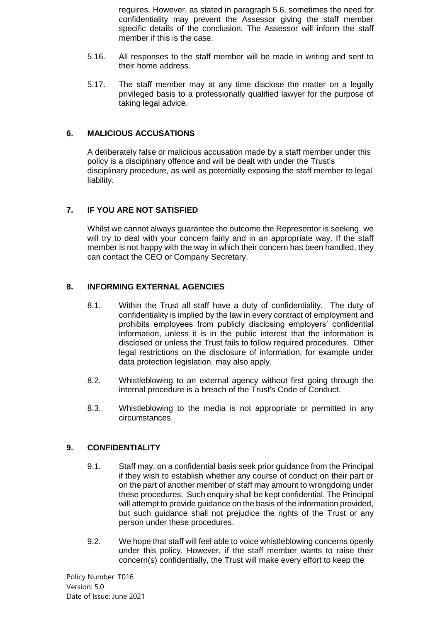requires. However, as stated in paragraph [5.6,](#page-3-0) sometimes the need for confidentiality may prevent the Assessor giving the staff member specific details of the conclusion. The Assessor will inform the staff member if this is the case.

- 5.16. All responses to the staff member will be made in writing and sent to their home address.
- 5.17. The staff member may at any time disclose the matter on a legally privileged basis to a professionally qualified lawyer for the purpose of taking legal advice.

#### **6. MALICIOUS ACCUSATIONS**

A deliberately false or malicious accusation made by a staff member under this policy is a disciplinary offence and will be dealt with under the Trust's disciplinary procedure, as well as potentially exposing the staff member to legal liability.

## **7. IF YOU ARE NOT SATISFIED**

Whilst we cannot always guarantee the outcome the Representor is seeking, we will try to deal with your concern fairly and in an appropriate way. If the staff member is not happy with the way in which their concern has been handled, they can contact the CEO or Company Secretary.

#### **8. INFORMING EXTERNAL AGENCIES**

- 8.1. Within the Trust all staff have a duty of confidentiality. The duty of confidentiality is implied by the law in every contract of employment and prohibits employees from publicly disclosing employers' confidential information, unless it is in the public interest that the information is disclosed or unless the Trust fails to follow required procedures. Other legal restrictions on the disclosure of information, for example under data protection legislation, may also apply.
- 8.2. Whistleblowing to an external agency without first going through the internal procedure is a breach of the Trust's Code of Conduct.
- 8.3. Whistleblowing to the media is not appropriate or permitted in any circumstances.

#### **9. CONFIDENTIALITY**

- 9.1. Staff may, on a confidential basis seek prior guidance from the Principal if they wish to establish whether any course of conduct on their part or on the part of another member of staff may amount to wrongdoing under these procedures. Such enquiry shall be kept confidential. The Principal will attempt to provide guidance on the basis of the information provided, but such guidance shall not prejudice the rights of the Trust or any person under these procedures.
- 9.2. We hope that staff will feel able to voice whistleblowing concerns openly under this policy. However, if the staff member wants to raise their concern(s) confidentially, the Trust will make every effort to keep the

Policy Number: T016 Version: 5.0 Date of Issue: June 2021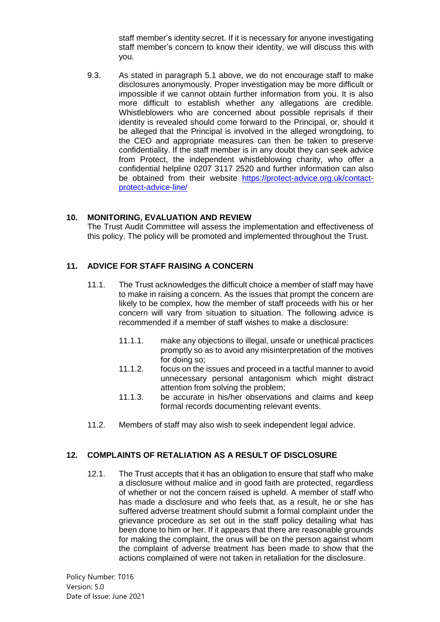<span id="page-6-0"></span>staff member's identity secret. If it is necessary for anyone investigating staff member's concern to know their identity, we will discuss this with you.

9.3. As stated in paragraph [5.1](#page-3-1) above, we do not encourage staff to make disclosures anonymously. Proper investigation may be more difficult or impossible if we cannot obtain further information from you. It is also more difficult to establish whether any allegations are credible. Whistleblowers who are concerned about possible reprisals if their identity is revealed should come forward to the Principal, or, should it be alleged that the Principal is involved in the alleged wrongdoing, to the CEO and appropriate measures can then be taken to preserve confidentiality. If the staff member is in any doubt they can seek advice from Protect, the independent whistleblowing charity, who offer a confidential helpline 0207 3117 2520 and further information can also be obtained from their website [https://protect-advice.org.uk/contact](https://protect-advice.org.uk/contact-protect-advice-line/)[protect-advice-line/](https://protect-advice.org.uk/contact-protect-advice-line/)

### **10. MONITORING, EVALUATION AND REVIEW**

The Trust Audit Committee will assess the implementation and effectiveness of this policy. The policy will be promoted and implemented throughout the Trust.

#### **11. ADVICE FOR STAFF RAISING A CONCERN**

- 11.1. The Trust acknowledges the difficult choice a member of staff may have to make in raising a concern. As the issues that prompt the concern are likely to be complex, how the member of staff proceeds with his or her concern will vary from situation to situation. The following advice is recommended if a member of staff wishes to make a disclosure:
	- 11.1.1. make any objections to illegal, unsafe or unethical practices promptly so as to avoid any misinterpretation of the motives for doing so;
	- 11.1.2. focus on the issues and proceed in a tactful manner to avoid unnecessary personal antagonism which might distract attention from solving the problem;
	- 11.1.3. be accurate in his/her observations and claims and keep formal records documenting relevant events.
- 11.2. Members of staff may also wish to seek independent legal advice.

#### **12. COMPLAINTS OF RETALIATION AS A RESULT OF DISCLOSURE**

12.1. The Trust accepts that it has an obligation to ensure that staff who make a disclosure without malice and in good faith are protected, regardless of whether or not the concern raised is upheld. A member of staff who has made a disclosure and who feels that, as a result, he or she has suffered adverse treatment should submit a formal complaint under the grievance procedure as set out in the staff policy detailing what has been done to him or her. If it appears that there are reasonable grounds for making the complaint, the onus will be on the person against whom the complaint of adverse treatment has been made to show that the actions complained of were not taken in retaliation for the disclosure.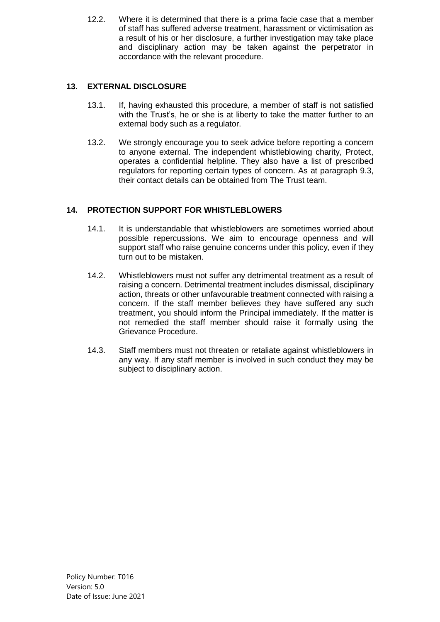12.2. Where it is determined that there is a prima facie case that a member of staff has suffered adverse treatment, harassment or victimisation as a result of his or her disclosure, a further investigation may take place and disciplinary action may be taken against the perpetrator in accordance with the relevant procedure.

# **13. EXTERNAL DISCLOSURE**

- 13.1. If, having exhausted this procedure, a member of staff is not satisfied with the Trust's, he or she is at liberty to take the matter further to an external body such as a regulator.
- 13.2. We strongly encourage you to seek advice before reporting a concern to anyone external. The independent whistleblowing charity, Protect, operates a confidential helpline. They also have a list of prescribed regulators for reporting certain types of concern. As at paragraph [9.3,](#page-6-0) their contact details can be obtained from The Trust team.

## **14. PROTECTION SUPPORT FOR WHISTLEBLOWERS**

- 14.1. It is understandable that whistleblowers are sometimes worried about possible repercussions. We aim to encourage openness and will support staff who raise genuine concerns under this policy, even if they turn out to be mistaken.
- 14.2. Whistleblowers must not suffer any detrimental treatment as a result of raising a concern. Detrimental treatment includes dismissal, disciplinary action, threats or other unfavourable treatment connected with raising a concern. If the staff member believes they have suffered any such treatment, you should inform the Principal immediately. If the matter is not remedied the staff member should raise it formally using the Grievance Procedure.
- 14.3. Staff members must not threaten or retaliate against whistleblowers in any way. If any staff member is involved in such conduct they may be subject to disciplinary action.